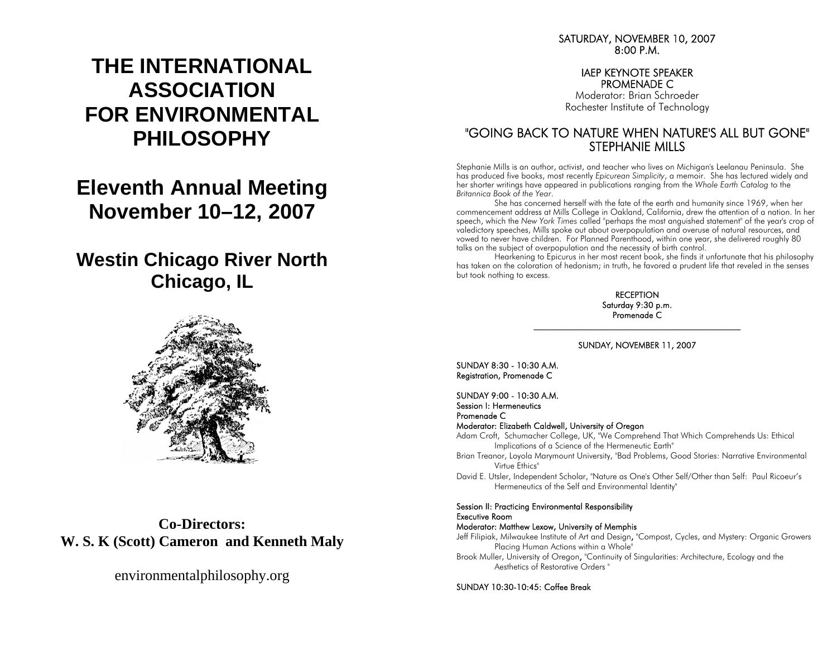# **THE INTERNATIONAL ASSOCIATION FOR ENVIRONMENTAL PHILOSOPHY**

## **Eleventh Annual Meeting November 10–12, 2007**

## **Westin Chicago River North Chicago, IL**



**Co-Directors: W. S. K (Scott) Cameron and Kenneth Maly** 

environmentalphilosophy.org

SATURDAY, NOVEMBER 10, 2007 8:00 P.M.

## IAEP KEYNOTE SPEAKER PROMENADE C

Moderator: Brian Schroeder Rochester Institute of Technology

## "GOING BACK TO NATURE WHEN NATURE'S ALL BUT GONE" STEPHANIE MILLS

Stephanie Mills is an author, activist, and teacher who lives on Michigan's Leelanau Peninsula. She has produced five books, most recently *Epicurean Simplicity*, a memoir. She has lectured widely and her shorter writings have appeared in publications ranging from the *Whole Earth Catalog* to the *Britannica Book of the Year*.

 She has concerned herself with the fate of the earth and humanity since 1969, when her commencement address at Mills College in Oakland, California, drew the attention of a nation. In her speech, which the *New York Times* called "perhaps the most anguished statement" of the year's crop of valedictory speeches, Mills spoke out about overpopulation and overuse of natural resources, and vowed to never have children. For Planned Parenthood, within one year, she delivered roughly 80 talks on the subject of overpopulation and the necessity of birth control.

 Hearkening to Epicurus in her most recent book, she finds it unfortunate that his philosophy has taken on the coloration of hedonism; in truth, he favored a prudent life that reveled in the senses but took nothing to excess.

> **RECEPTION** Saturday 9:30 p.m. Promenade C

## $\mathcal{L}_\text{max}$  and  $\mathcal{L}_\text{max}$  and  $\mathcal{L}_\text{max}$  and  $\mathcal{L}_\text{max}$  and  $\mathcal{L}_\text{max}$  and  $\mathcal{L}_\text{max}$ SUNDAY, NOVEMBER 11, 2007

SUNDAY 8:30 - 10:30 A.M. Registration, Promenade C

SUNDAY 9:00 - 10:30 A.M. Session I: Hermeneutics

Promenade C

Moderator: Elizabeth Caldwell, University of Oregon

Adam Croft, Schumacher College, UK, "We Comprehend That Which Comprehends Us: Ethical Implications of a Science of the Hermeneutic Earth"

- Brian Treanor, Loyola Marymount University, "Bad Problems, Good Stories: Narrative Environmental Virtue Ethics"
- David E. Utsler, Independent Scholar, "Nature as One's Other Self/Other than Self: Paul Ricoeur's Hermeneutics of the Self and Environmental Identity"

### Session II: Practicing Environmental Responsibility Executive Room

### Moderator: Matthew Lexow, University of Memphis

Jeff Filipiak, Milwaukee Institute of Art and Design, "Compost, Cycles, and Mystery: Organic Growers Placing Human Actions within a Whole"

Brook Muller, University of Oregon, "Continuity of Singularities: Architecture, Ecology and the Aesthetics of Restorative Orders "

SUNDAY 10:30-10:45: Coffee Break